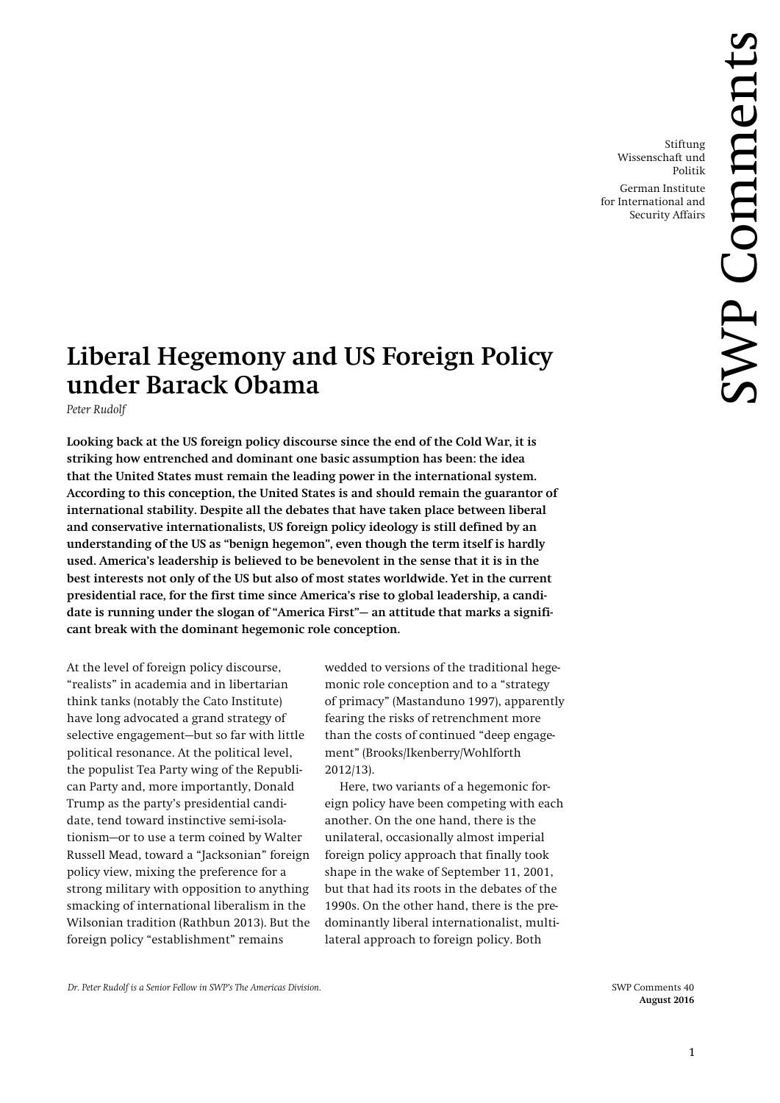Stiftung Wissenschaft und Politik

German Institute for International and Security Affairs

# **Liberal Hegemony and US Foreign Policy under Barack Obama**

*Peter Rudolf* 

**Looking back at the US foreign policy discourse since the end of the Cold War, it is striking how entrenched and dominant one basic assumption has been: the idea that the United States must remain the leading power in the international system. According to this conception, the United States is and should remain the guarantor of international stability. Despite all the debates that have taken place between liberal and conservative internationalists, US foreign policy ideology is still defined by an understanding of the US as "benign hegemon", even though the term itself is hardly used. America's leadership is believed to be benevolent in the sense that it is in the best interests not only of the US but also of most states worldwide. Yet in the current presidential race, for the first time since America's rise to global leadership, a candidate is running under the slogan of "America First"— an attitude that marks a significant break with the dominant hegemonic role conception.** 

At the level of foreign policy discourse, "realists" in academia and in libertarian think tanks (notably the Cato Institute) have long advocated a grand strategy of selective engagement—but so far with little political resonance. At the political level, the populist Tea Party wing of the Republican Party and, more importantly, Donald Trump as the party's presidential candidate, tend toward instinctive semi-isolationism—or to use a term coined by Walter Russell Mead, toward a "Jacksonian" foreign policy view, mixing the preference for a strong military with opposition to anything smacking of international liberalism in the Wilsonian tradition (Rathbun 2013). But the foreign policy "establishment" remains

wedded to versions of the traditional hegemonic role conception and to a "strategy of primacy" (Mastanduno 1997), apparently fearing the risks of retrenchment more than the costs of continued "deep engagement" (Brooks/Ikenberry/Wohlforth 2012/13).

Here, two variants of a hegemonic foreign policy have been competing with each another. On the one hand, there is the unilateral, occasionally almost imperial foreign policy approach that finally took shape in the wake of September 11, 2001, but that had its roots in the debates of the 1990s. On the other hand, there is the predominantly liberal internationalist, multilateral approach to foreign policy. Both

 *Dr. Peter Rudolf is a Senior Fellow in SWP's The Americas Division.* SWP Comments 40

 **August 2016**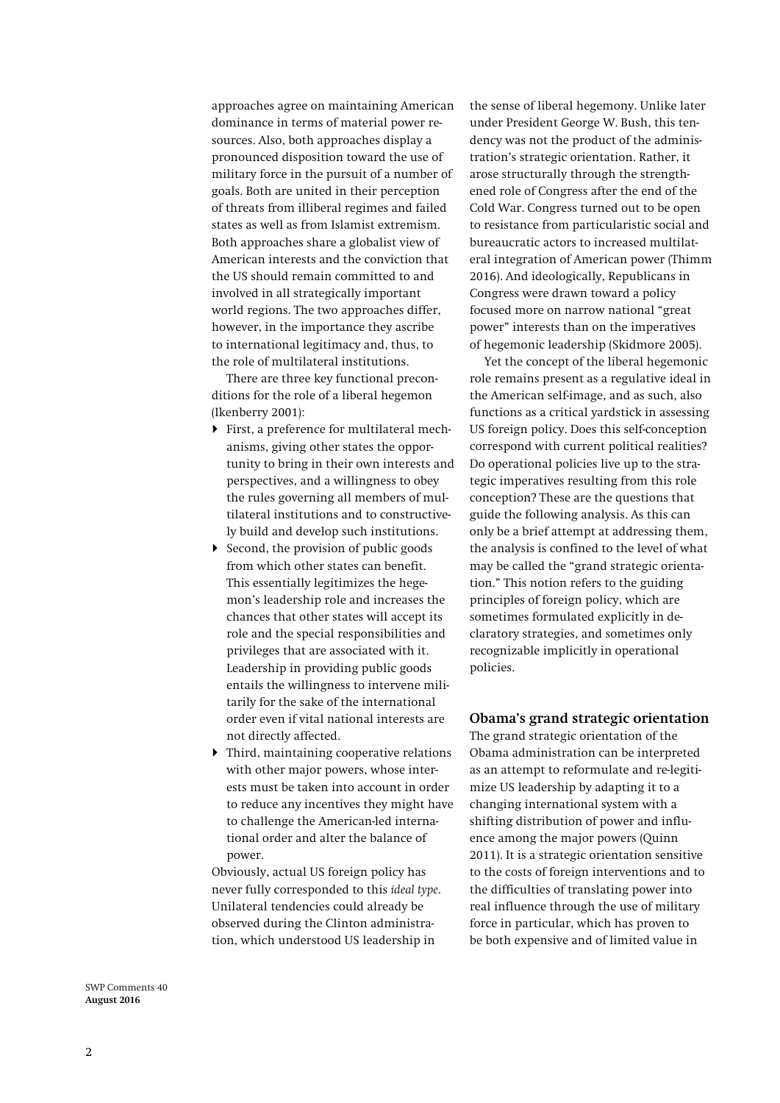approaches agree on maintaining American dominance in terms of material power resources. Also, both approaches display a pronounced disposition toward the use of military force in the pursuit of a number of goals. Both are united in their perception of threats from illiberal regimes and failed states as well as from Islamist extremism. Both approaches share a globalist view of American interests and the conviction that the US should remain committed to and involved in all strategically important world regions. The two approaches differ, however, in the importance they ascribe to international legitimacy and, thus, to the role of multilateral institutions.

There are three key functional preconditions for the role of a liberal hegemon (Ikenberry 2001):

- First, a preference for multilateral mechanisms, giving other states the opportunity to bring in their own interests and perspectives, and a willingness to obey the rules governing all members of multilateral institutions and to constructively build and develop such institutions.
- $\triangleright$  Second, the provision of public goods from which other states can benefit. This essentially legitimizes the hegemon's leadership role and increases the chances that other states will accept its role and the special responsibilities and privileges that are associated with it. Leadership in providing public goods entails the willingness to intervene militarily for the sake of the international order even if vital national interests are not directly affected.
- Third, maintaining cooperative relations with other major powers, whose interests must be taken into account in order to reduce any incentives they might have to challenge the American-led international order and alter the balance of power.

Obviously, actual US foreign policy has never fully corresponded to this *ideal type*. Unilateral tendencies could already be observed during the Clinton administration, which understood US leadership in

the sense of liberal hegemony. Unlike later under President George W. Bush, this tendency was not the product of the administration's strategic orientation. Rather, it arose structurally through the strengthened role of Congress after the end of the Cold War. Congress turned out to be open to resistance from particularistic social and bureaucratic actors to increased multilateral integration of American power (Thimm 2016). And ideologically, Republicans in Congress were drawn toward a policy focused more on narrow national "great power" interests than on the imperatives of hegemonic leadership (Skidmore 2005).

Yet the concept of the liberal hegemonic role remains present as a regulative ideal in the American self-image, and as such, also functions as a critical yardstick in assessing US foreign policy. Does this self-conception correspond with current political realities? Do operational policies live up to the strategic imperatives resulting from this role conception? These are the questions that guide the following analysis. As this can only be a brief attempt at addressing them, the analysis is confined to the level of what may be called the "grand strategic orientation." This notion refers to the guiding principles of foreign policy, which are sometimes formulated explicitly in declaratory strategies, and sometimes only recognizable implicitly in operational policies.

# **Obama's grand strategic orientation**

The grand strategic orientation of the Obama administration can be interpreted as an attempt to reformulate and re-legitimize US leadership by adapting it to a changing international system with a shifting distribution of power and influence among the major powers (Quinn 2011). It is a strategic orientation sensitive to the costs of foreign interventions and to the difficulties of translating power into real influence through the use of military force in particular, which has proven to be both expensive and of limited value in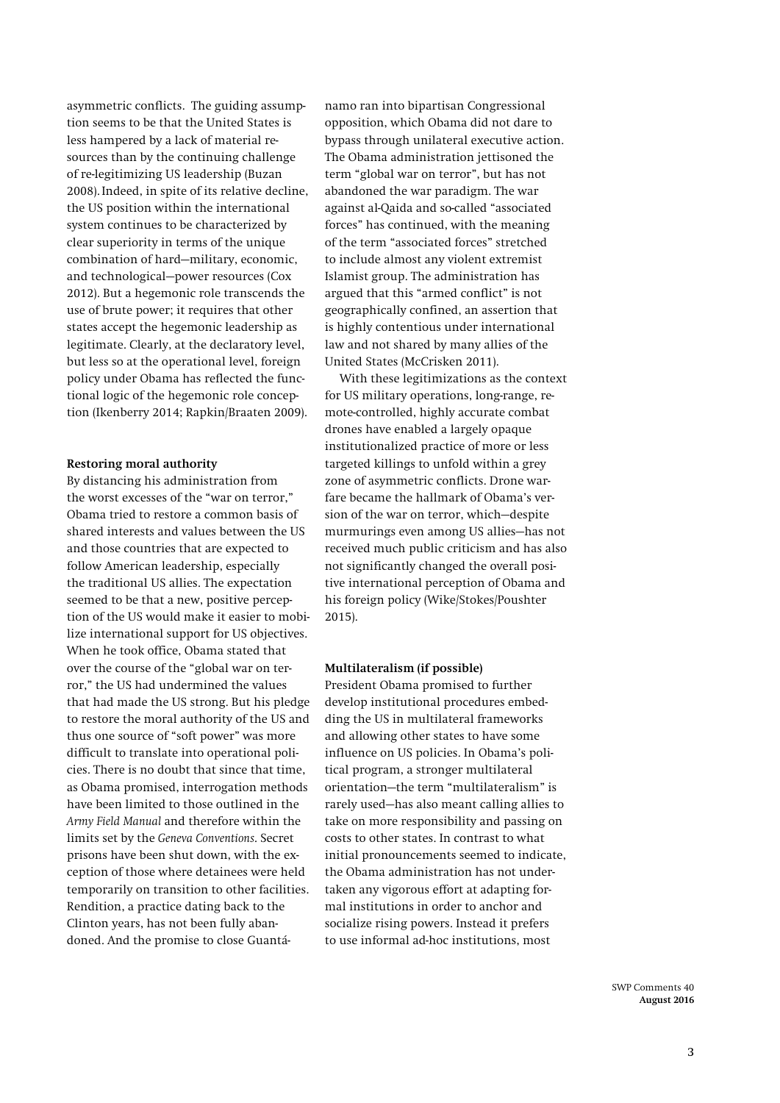asymmetric conflicts. The guiding assumption seems to be that the United States is less hampered by a lack of material resources than by the continuing challenge of re-legitimizing US leadership (Buzan 2008). Indeed, in spite of its relative decline, the US position within the international system continues to be characterized by clear superiority in terms of the unique combination of hard—military, economic, and technological—power resources (Cox 2012). But a hegemonic role transcends the use of brute power; it requires that other states accept the hegemonic leadership as legitimate. Clearly, at the declaratory level, but less so at the operational level, foreign policy under Obama has reflected the functional logic of the hegemonic role conception (Ikenberry 2014; Rapkin/Braaten 2009).

## **Restoring moral authority**

By distancing his administration from the worst excesses of the "war on terror," Obama tried to restore a common basis of shared interests and values between the US and those countries that are expected to follow American leadership, especially the traditional US allies. The expectation seemed to be that a new, positive perception of the US would make it easier to mobilize international support for US objectives. When he took office, Obama stated that over the course of the "global war on terror," the US had undermined the values that had made the US strong. But his pledge to restore the moral authority of the US and thus one source of "soft power" was more difficult to translate into operational policies. There is no doubt that since that time, as Obama promised, interrogation methods have been limited to those outlined in the *Army Field Manual* and therefore within the limits set by the *Geneva Conventions*. Secret prisons have been shut down, with the exception of those where detainees were held temporarily on transition to other facilities. Rendition, a practice dating back to the Clinton years, has not been fully abandoned. And the promise to close Guantá-

namo ran into bipartisan Congressional opposition, which Obama did not dare to bypass through unilateral executive action. The Obama administration jettisoned the term "global war on terror", but has not abandoned the war paradigm. The war against al-Qaida and so-called "associated forces" has continued, with the meaning of the term "associated forces" stretched to include almost any violent extremist Islamist group. The administration has argued that this "armed conflict" is not geographically confined, an assertion that is highly contentious under international law and not shared by many allies of the United States (McCrisken 2011).

With these legitimizations as the context for US military operations, long-range, remote-controlled, highly accurate combat drones have enabled a largely opaque institutionalized practice of more or less targeted killings to unfold within a grey zone of asymmetric conflicts. Drone warfare became the hallmark of Obama's version of the war on terror, which—despite murmurings even among US allies—has not received much public criticism and has also not significantly changed the overall positive international perception of Obama and his foreign policy (Wike/Stokes/Poushter 2015).

### **Multilateralism (if possible)**

President Obama promised to further develop institutional procedures embedding the US in multilateral frameworks and allowing other states to have some influence on US policies. In Obama's political program, a stronger multilateral orientation—the term "multilateralism" is rarely used—has also meant calling allies to take on more responsibility and passing on costs to other states. In contrast to what initial pronouncements seemed to indicate, the Obama administration has not undertaken any vigorous effort at adapting formal institutions in order to anchor and socialize rising powers. Instead it prefers to use informal ad-hoc institutions, most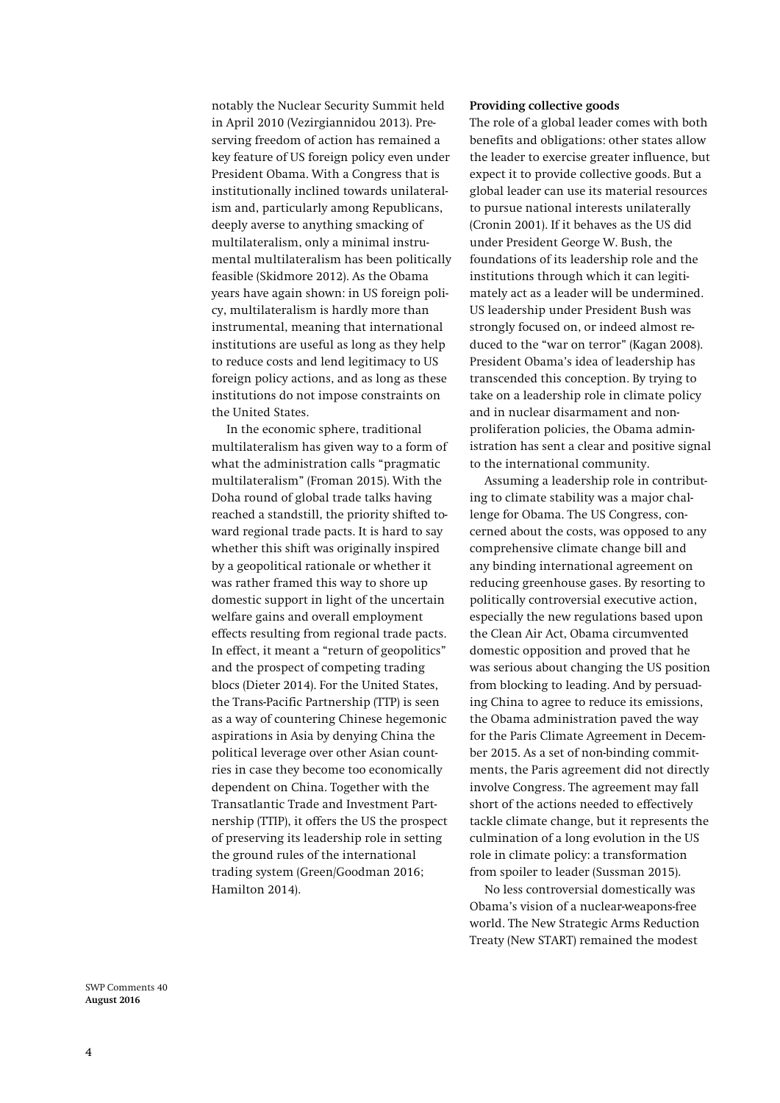notably the Nuclear Security Summit held in April 2010 (Vezirgiannidou 2013). Preserving freedom of action has remained a key feature of US foreign policy even under President Obama. With a Congress that is institutionally inclined towards unilateralism and, particularly among Republicans, deeply averse to anything smacking of multilateralism, only a minimal instrumental multilateralism has been politically feasible (Skidmore 2012). As the Obama years have again shown: in US foreign policy, multilateralism is hardly more than instrumental, meaning that international institutions are useful as long as they help to reduce costs and lend legitimacy to US foreign policy actions, and as long as these institutions do not impose constraints on the United States.

In the economic sphere, traditional multilateralism has given way to a form of what the administration calls "pragmatic multilateralism" (Froman 2015). With the Doha round of global trade talks having reached a standstill, the priority shifted toward regional trade pacts. It is hard to say whether this shift was originally inspired by a geopolitical rationale or whether it was rather framed this way to shore up domestic support in light of the uncertain welfare gains and overall employment effects resulting from regional trade pacts. In effect, it meant a "return of geopolitics" and the prospect of competing trading blocs (Dieter 2014). For the United States, the Trans-Pacific Partnership (TTP) is seen as a way of countering Chinese hegemonic aspirations in Asia by denying China the political leverage over other Asian countries in case they become too economically dependent on China. Together with the Transatlantic Trade and Investment Partnership (TTIP), it offers the US the prospect of preserving its leadership role in setting the ground rules of the international trading system (Green/Goodman 2016; Hamilton 2014).

#### **Providing collective goods**

The role of a global leader comes with both benefits and obligations: other states allow the leader to exercise greater influence, but expect it to provide collective goods. But a global leader can use its material resources to pursue national interests unilaterally (Cronin 2001). If it behaves as the US did under President George W. Bush, the foundations of its leadership role and the institutions through which it can legitimately act as a leader will be undermined. US leadership under President Bush was strongly focused on, or indeed almost reduced to the "war on terror" (Kagan 2008). President Obama's idea of leadership has transcended this conception. By trying to take on a leadership role in climate policy and in nuclear disarmament and nonproliferation policies, the Obama administration has sent a clear and positive signal to the international community.

Assuming a leadership role in contributing to climate stability was a major challenge for Obama. The US Congress, concerned about the costs, was opposed to any comprehensive climate change bill and any binding international agreement on reducing greenhouse gases. By resorting to politically controversial executive action, especially the new regulations based upon the Clean Air Act, Obama circumvented domestic opposition and proved that he was serious about changing the US position from blocking to leading. And by persuading China to agree to reduce its emissions, the Obama administration paved the way for the Paris Climate Agreement in December 2015. As a set of non-binding commitments, the Paris agreement did not directly involve Congress. The agreement may fall short of the actions needed to effectively tackle climate change, but it represents the culmination of a long evolution in the US role in climate policy: a transformation from spoiler to leader (Sussman 2015).

No less controversial domestically was Obama's vision of a nuclear-weapons-free world. The New Strategic Arms Reduction Treaty (New START) remained the modest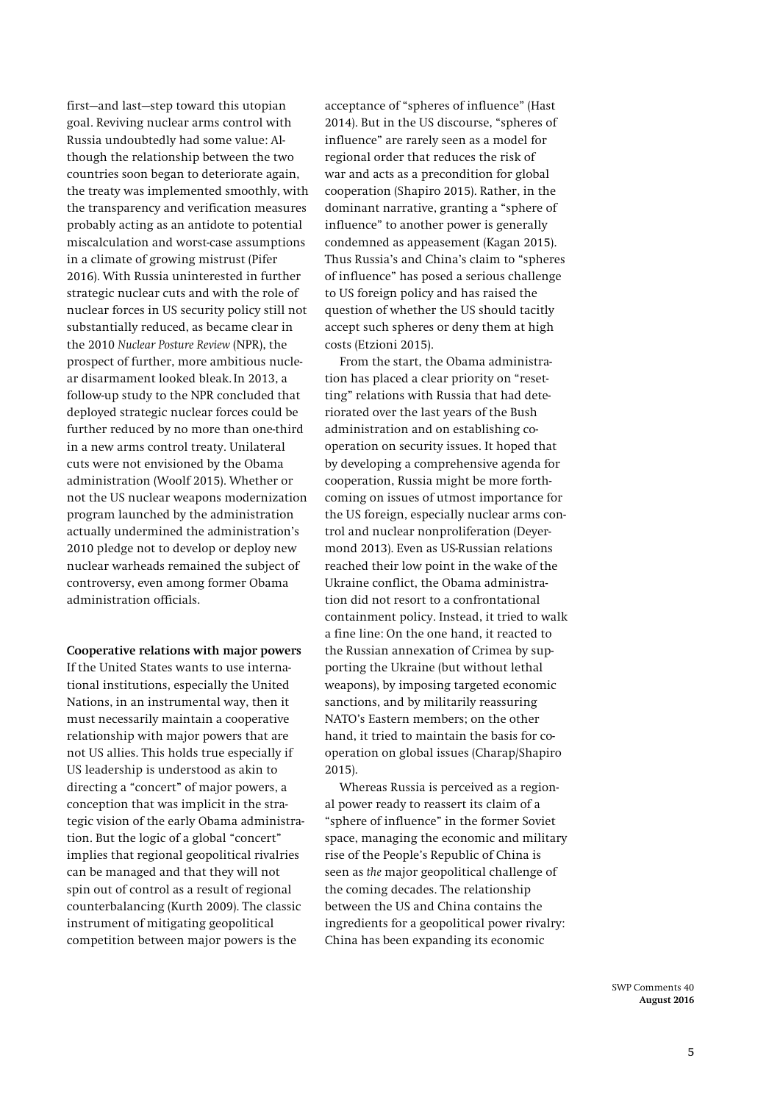first—and last—step toward this utopian goal. Reviving nuclear arms control with Russia undoubtedly had some value: Although the relationship between the two countries soon began to deteriorate again, the treaty was implemented smoothly, with the transparency and verification measures probably acting as an antidote to potential miscalculation and worst-case assumptions in a climate of growing mistrust (Pifer 2016). With Russia uninterested in further strategic nuclear cuts and with the role of nuclear forces in US security policy still not substantially reduced, as became clear in the 2010 *Nuclear Posture Review* (NPR), the prospect of further, more ambitious nuclear disarmament looked bleak.In 2013, a follow-up study to the NPR concluded that deployed strategic nuclear forces could be further reduced by no more than one-third in a new arms control treaty. Unilateral cuts were not envisioned by the Obama administration (Woolf 2015). Whether or not the US nuclear weapons modernization program launched by the administration actually undermined the administration's 2010 pledge not to develop or deploy new nuclear warheads remained the subject of controversy, even among former Obama administration officials.

## **Cooperative relations with major powers**

If the United States wants to use international institutions, especially the United Nations, in an instrumental way, then it must necessarily maintain a cooperative relationship with major powers that are not US allies. This holds true especially if US leadership is understood as akin to directing a "concert" of major powers, a conception that was implicit in the strategic vision of the early Obama administration. But the logic of a global "concert" implies that regional geopolitical rivalries can be managed and that they will not spin out of control as a result of regional counterbalancing (Kurth 2009). The classic instrument of mitigating geopolitical competition between major powers is the

acceptance of "spheres of influence" (Hast 2014). But in the US discourse, "spheres of influence" are rarely seen as a model for regional order that reduces the risk of war and acts as a precondition for global cooperation (Shapiro 2015). Rather, in the dominant narrative, granting a "sphere of influence" to another power is generally condemned as appeasement (Kagan 2015). Thus Russia's and China's claim to "spheres of influence" has posed a serious challenge to US foreign policy and has raised the question of whether the US should tacitly accept such spheres or deny them at high costs (Etzioni 2015).

From the start, the Obama administration has placed a clear priority on "resetting" relations with Russia that had deteriorated over the last years of the Bush administration and on establishing cooperation on security issues. It hoped that by developing a comprehensive agenda for cooperation, Russia might be more forthcoming on issues of utmost importance for the US foreign, especially nuclear arms control and nuclear nonproliferation (Deyermond 2013). Even as US-Russian relations reached their low point in the wake of the Ukraine conflict, the Obama administration did not resort to a confrontational containment policy. Instead, it tried to walk a fine line: On the one hand, it reacted to the Russian annexation of Crimea by supporting the Ukraine (but without lethal weapons), by imposing targeted economic sanctions, and by militarily reassuring NATO's Eastern members; on the other hand, it tried to maintain the basis for cooperation on global issues (Charap/Shapiro 2015).

Whereas Russia is perceived as a regional power ready to reassert its claim of a "sphere of influence" in the former Soviet space, managing the economic and military rise of the People's Republic of China is seen as *the* major geopolitical challenge of the coming decades. The relationship between the US and China contains the ingredients for a geopolitical power rivalry: China has been expanding its economic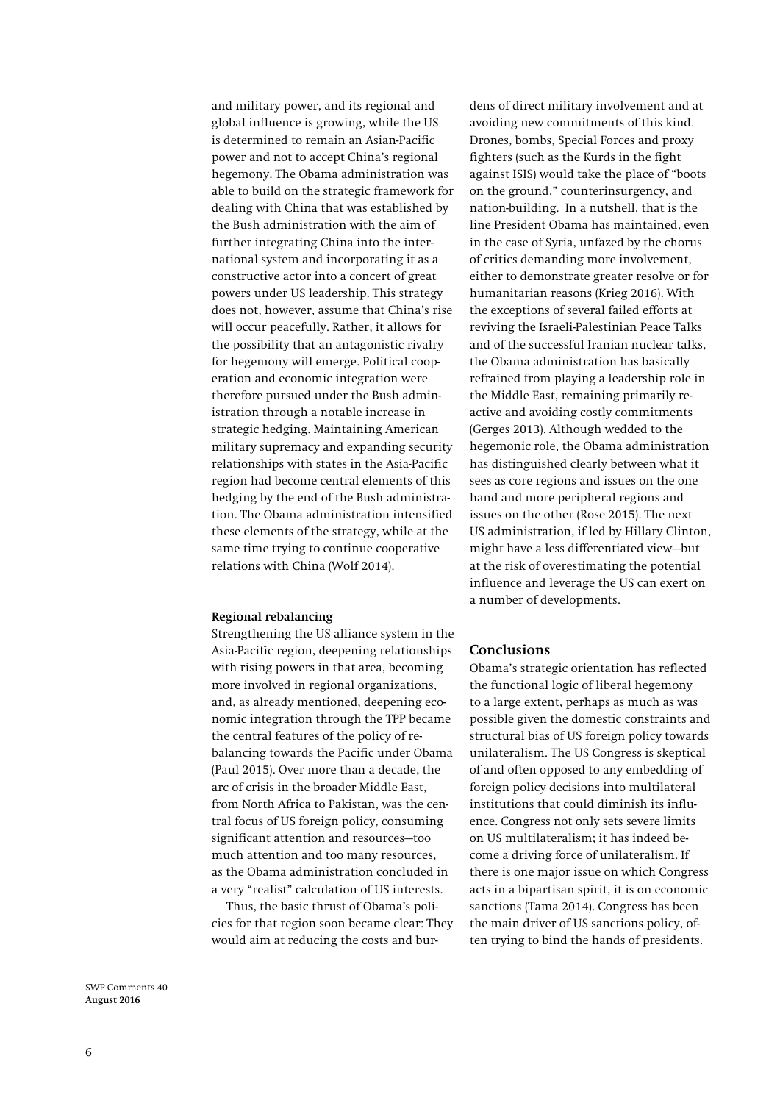and military power, and its regional and global influence is growing, while the US is determined to remain an Asian-Pacific power and not to accept China's regional hegemony. The Obama administration was able to build on the strategic framework for dealing with China that was established by the Bush administration with the aim of further integrating China into the international system and incorporating it as a constructive actor into a concert of great powers under US leadership. This strategy does not, however, assume that China's rise will occur peacefully. Rather, it allows for the possibility that an antagonistic rivalry for hegemony will emerge. Political cooperation and economic integration were therefore pursued under the Bush administration through a notable increase in strategic hedging. Maintaining American military supremacy and expanding security relationships with states in the Asia-Pacific region had become central elements of this hedging by the end of the Bush administration. The Obama administration intensified these elements of the strategy, while at the same time trying to continue cooperative relations with China (Wolf 2014).

### **Regional rebalancing**

Strengthening the US alliance system in the Asia-Pacific region, deepening relationships with rising powers in that area, becoming more involved in regional organizations, and, as already mentioned, deepening economic integration through the TPP became the central features of the policy of rebalancing towards the Pacific under Obama (Paul 2015). Over more than a decade, the arc of crisis in the broader Middle East, from North Africa to Pakistan, was the central focus of US foreign policy, consuming significant attention and resources—too much attention and too many resources, as the Obama administration concluded in a very "realist" calculation of US interests.

Thus, the basic thrust of Obama's policies for that region soon became clear: They would aim at reducing the costs and bur-

dens of direct military involvement and at avoiding new commitments of this kind. Drones, bombs, Special Forces and proxy fighters (such as the Kurds in the fight against ISIS) would take the place of "boots on the ground," counterinsurgency, and nation-building. In a nutshell, that is the line President Obama has maintained, even in the case of Syria, unfazed by the chorus of critics demanding more involvement, either to demonstrate greater resolve or for humanitarian reasons (Krieg 2016). With the exceptions of several failed efforts at reviving the Israeli-Palestinian Peace Talks and of the successful Iranian nuclear talks, the Obama administration has basically refrained from playing a leadership role in the Middle East, remaining primarily reactive and avoiding costly commitments (Gerges 2013). Although wedded to the hegemonic role, the Obama administration has distinguished clearly between what it sees as core regions and issues on the one hand and more peripheral regions and issues on the other (Rose 2015). The next US administration, if led by Hillary Clinton, might have a less differentiated view—but at the risk of overestimating the potential influence and leverage the US can exert on a number of developments.

## **Conclusions**

Obama's strategic orientation has reflected the functional logic of liberal hegemony to a large extent, perhaps as much as was possible given the domestic constraints and structural bias of US foreign policy towards unilateralism. The US Congress is skeptical of and often opposed to any embedding of foreign policy decisions into multilateral institutions that could diminish its influence. Congress not only sets severe limits on US multilateralism; it has indeed become a driving force of unilateralism. If there is one major issue on which Congress acts in a bipartisan spirit, it is on economic sanctions (Tama 2014). Congress has been the main driver of US sanctions policy, often trying to bind the hands of presidents.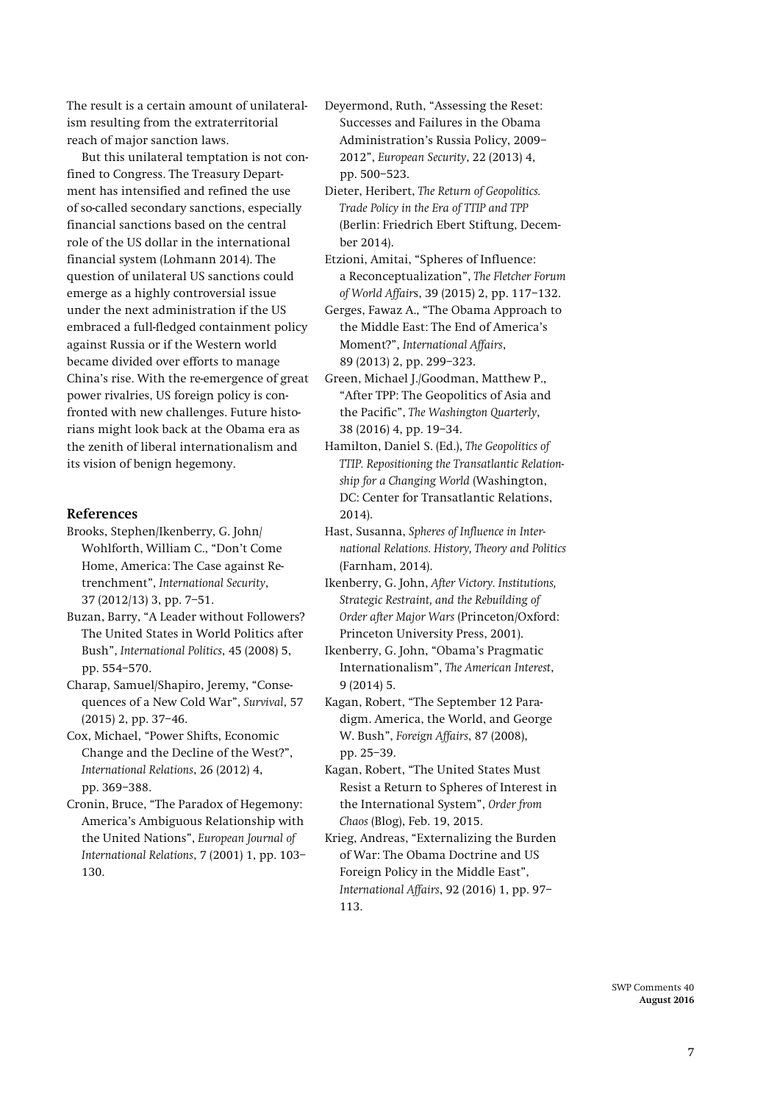The result is a certain amount of unilateralism resulting from the extraterritorial reach of major sanction laws.

But this unilateral temptation is not confined to Congress. The Treasury Department has intensified and refined the use of so-called secondary sanctions, especially financial sanctions based on the central role of the US dollar in the international financial system (Lohmann 2014). The question of unilateral US sanctions could emerge as a highly controversial issue under the next administration if the US embraced a full-fledged containment policy against Russia or if the Western world became divided over efforts to manage China's rise. With the re-emergence of great power rivalries, US foreign policy is confronted with new challenges. Future historians might look back at the Obama era as the zenith of liberal internationalism and its vision of benign hegemony.

## **References**

Brooks, Stephen/Ikenberry, G. John/ Wohlforth, William C., "Don't Come Home, America: The Case against Retrenchment", *International Security*, 37 (2012/13) 3, pp. 7–51.

Buzan, Barry, "A Leader without Followers? The United States in World Politics after Bush", *International Politics*, 45 (2008) 5, pp. 554–570.

Charap, Samuel/Shapiro, Jeremy, "Consequences of a New Cold War", *Survival*, 57 (2015) 2, pp. 37–46.

Cox, Michael, "Power Shifts, Economic Change and the Decline of the West?", *International Relations*, 26 (2012) 4, pp. 369–388.

Cronin, Bruce, "The Paradox of Hegemony: America's Ambiguous Relationship with the United Nations", *European Journal of International Relations*, 7 (2001) 1, pp. 103– 130.

Deyermond, Ruth, "Assessing the Reset: Successes and Failures in the Obama Administration's Russia Policy, 2009– 2012", *European Security*, 22 (2013) 4, pp. 500–523.

Dieter, Heribert, *The Return of Geopolitics. Trade Policy in the Era of TTIP and TPP* (Berlin: Friedrich Ebert Stiftung, December 2014).

Etzioni, Amitai, "Spheres of Influence: a Reconceptualization", *The Fletcher Forum of World Affair*s, 39 (2015) 2, pp. 117–132.

Gerges, Fawaz A., "The Obama Approach to the Middle East: The End of America's Moment?", *International Affairs*, 89 (2013) 2, pp. 299–323.

- Green, Michael J./Goodman, Matthew P., "After TPP: The Geopolitics of Asia and the Pacific", *The Washington Quarterly*, 38 (2016) 4, pp. 19–34.
- Hamilton, Daniel S. (Ed.), *The Geopolitics of TTIP. Repositioning the Transatlantic Relationship for a Changing World* (Washington, DC: Center for Transatlantic Relations, 2014).

Hast, Susanna, *Spheres of Influence in International Relations. History, Theory and Politics*  (Farnham, 2014).

Ikenberry, G. John, *After Victory. Institutions, Strategic Restraint, and the Rebuilding of Order after Major Wars* (Princeton/Oxford: Princeton University Press, 2001).

Ikenberry, G. John, "Obama's Pragmatic Internationalism", *The American Interest*, 9 (2014) 5.

Kagan, Robert, "The September 12 Paradigm. America, the World, and George W. Bush", *Foreign Affairs*, 87 (2008), pp. 25–39.

Kagan, Robert, "The United States Must Resist a Return to Spheres of Interest in the International System", *Order from Chaos* (Blog), Feb. 19, 2015.

Krieg, Andreas, "Externalizing the Burden of War: The Obama Doctrine and US Foreign Policy in the Middle East", *International Affairs*, 92 (2016) 1, pp. 97– 113.